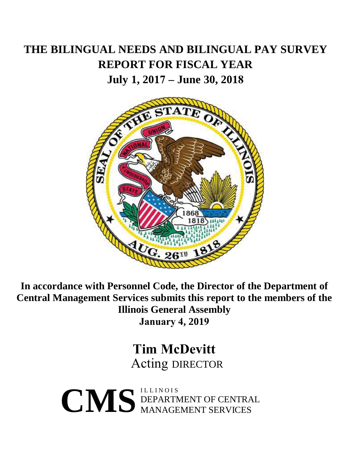## **THE BILINGUAL NEEDS AND BILINGUAL PAY SURVEY REPORT FOR FISCAL YEAR**

**July 1, 2017 – June 30, 2018**



**In accordance with Personnel Code, the Director of the Department of Central Management Services submits this report to the members of the Illinois General Assembly January 4, 2019**

> **Tim McDevitt** Acting DIRECTOR

 $\begin{array}{c}\n\begin{array}{c}\n\begin{array}{c}\n\text{ILLINOIS} \\
\text{DEPENDENT OF CENTRAL}\n\end{array}\n\end{array}\n\end{array}$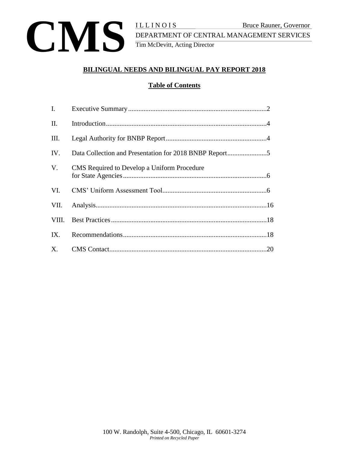

DEPARTMENT OF CENTRAL MANAGEMENT SERVICES Tim McDevitt, Acting Director

## **BILINGUAL NEEDS AND BILINGUAL PAY REPORT 2018**

## **Table of Contents**

| $\mathbf{I}$ . |                                             |  |
|----------------|---------------------------------------------|--|
| П.             |                                             |  |
| III.           |                                             |  |
| IV.            |                                             |  |
| V.             | CMS Required to Develop a Uniform Procedure |  |
| VI.            |                                             |  |
| VII.           |                                             |  |
|                |                                             |  |
| IX.            |                                             |  |
|                |                                             |  |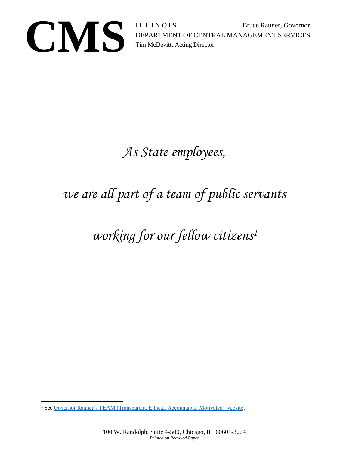

Bruce Rauner, Governor<br>DEPARTMENT OF CENTRAL MANAGEMENT SERVICES<br>Tim McDevitt, Acting Director DEPARTMENT OF CENTRAL MANAGEMENT SERVICES Tim McDevitt, Acting Director

## *As State employees,*

# *we are all part of a team of public servants*

## *working for our fellow citizens<sup>1</sup>*

 $\overline{a}$ <sup>1</sup> Se[e Governor Rauner's TEAM \(Transparent, Ethical, Accountable, Motivated\) website.](https://www2.illinois.gov/sites/TeamIllinois/Pages/default.aspx)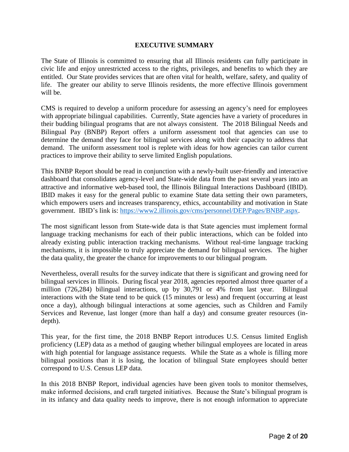#### **EXECUTIVE SUMMARY**

The State of Illinois is committed to ensuring that all Illinois residents can fully participate in civic life and enjoy unrestricted access to the rights, privileges, and benefits to which they are entitled. Our State provides services that are often vital for health, welfare, safety, and quality of life. The greater our ability to serve Illinois residents, the more effective Illinois government will be.

CMS is required to develop a uniform procedure for assessing an agency's need for employees with appropriate bilingual capabilities. Currently, State agencies have a variety of procedures in their budding bilingual programs that are not always consistent. The 2018 Bilingual Needs and Bilingual Pay (BNBP) Report offers a uniform assessment tool that agencies can use to determine the demand they face for bilingual services along with their capacity to address that demand. The uniform assessment tool is replete with ideas for how agencies can tailor current practices to improve their ability to serve limited English populations.

This BNBP Report should be read in conjunction with a newly-built user-friendly and interactive dashboard that consolidates agency-level and State-wide data from the past several years into an attractive and informative web-based tool, the Illinois Bilingual Interactions Dashboard (IBID). IBID makes it easy for the general public to examine State data setting their own parameters, which empowers users and increases transparency, ethics, accountability and motivation in State government. IBID's link is: [https://www2.illinois.gov/cms/personnel/DEP/Pages/BNBP.aspx.](https://www2.illinois.gov/cms/personnel/DEP/Pages/BNBP.aspx)

The most significant lesson from State-wide data is that State agencies must implement formal language tracking mechanisms for each of their public interactions, which can be folded into already existing public interaction tracking mechanisms. Without real-time language tracking mechanisms, it is impossible to truly appreciate the demand for bilingual services. The higher the data quality, the greater the chance for improvements to our bilingual program.

Nevertheless, overall results for the survey indicate that there is significant and growing need for bilingual services in Illinois. During fiscal year 2018, agencies reported almost three quarter of a million (726,284) bilingual interactions, up by 30,791 or 4% from last year. Bilingual interactions with the State tend to be quick (15 minutes or less) and frequent (occurring at least once a day), although bilingual interactions at some agencies, such as Children and Family Services and Revenue, last longer (more than half a day) and consume greater resources (indepth).

This year, for the first time, the 2018 BNBP Report introduces U.S. Census limited English proficiency (LEP) data as a method of gauging whether bilingual employees are located in areas with high potential for language assistance requests. While the State as a whole is filling more bilingual positions than it is losing, the location of bilingual State employees should better correspond to U.S. Census LEP data.

In this 2018 BNBP Report, individual agencies have been given tools to monitor themselves, make informed decisions, and craft targeted initiatives. Because the State's bilingual program is in its infancy and data quality needs to improve, there is not enough information to appreciate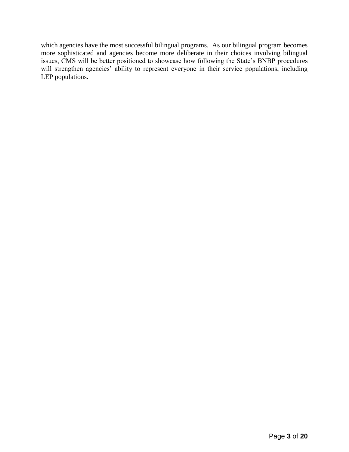which agencies have the most successful bilingual programs. As our bilingual program becomes more sophisticated and agencies become more deliberate in their choices involving bilingual issues, CMS will be better positioned to showcase how following the State's BNBP procedures will strengthen agencies' ability to represent everyone in their service populations, including LEP populations.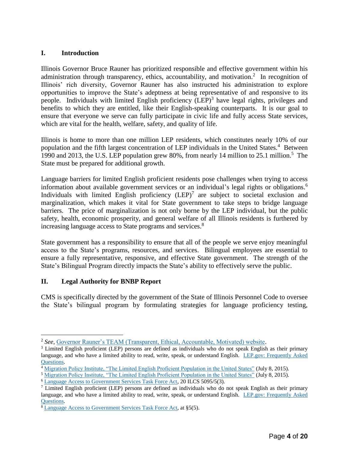#### **I. Introduction**

Illinois Governor Bruce Rauner has prioritized responsible and effective government within his administration through transparency, ethics, accountability, and motivation.<sup>2</sup> In recognition of Illinois' rich diversity, Governor Rauner has also instructed his administration to explore opportunities to improve the State's adeptness at being representative of and responsive to its people. Individuals with limited English proficiency (LEP)<sup>3</sup> have legal rights, privileges and benefits to which they are entitled, like their English-speaking counterparts. It is our goal to ensure that everyone we serve can fully participate in civic life and fully access State services, which are vital for the health, welfare, safety, and quality of life.

Illinois is home to more than one million LEP residents, which constitutes nearly 10% of our population and the fifth largest concentration of LEP individuals in the United States.<sup>4</sup> Between 1990 and 2013, the U.S. LEP population grew 80%, from nearly 14 million to 25.1 million. 5 The State must be prepared for additional growth.

Language barriers for limited English proficient residents pose challenges when trying to access information about available government services or an individual's legal rights or obligations.<sup>6</sup> Individuals with limited English proficiency  $(LEP)^7$  are subject to societal exclusion and marginalization, which makes it vital for State government to take steps to bridge language barriers. The price of marginalization is not only borne by the LEP individual, but the public safety, health, economic prosperity, and general welfare of all Illinois residents is furthered by increasing language access to State programs and services. 8

State government has a responsibility to ensure that all of the people we serve enjoy meaningful access to the State's programs, resources, and services. Bilingual employees are essential to ensure a fully representative, responsive, and effective State government. The strength of the State's Bilingual Program directly impacts the State's ability to effectively serve the public.

## **II. Legal Authority for BNBP Report**

 $\overline{a}$ 

CMS is specifically directed by the government of the State of Illinois Personnel Code to oversee the State's bilingual program by formulating strategies for language proficiency testing,

<sup>2</sup> *See*, [Governor Rauner's TEAM \(Transparent, Ethical, Accountable, Motivated\) website.](https://www2.illinois.gov/sites/TeamIllinois/Pages/default.aspx)

<sup>&</sup>lt;sup>3</sup> Limited English proficient (LEP) persons are defined as individuals who do not speak English as their primary language, and who have a limited ability to read, write, speak, or understand English. LEP.gov: [Frequently Asked](https://www.lep.gov/faqs/faqs.html)  [Questions.](https://www.lep.gov/faqs/faqs.html)

<sup>4</sup> [Migration Policy Institute, "The Limited English Proficient Population in the United States"](https://www.migrationpolicy.org/article/limited-english-proficient-population-united-states/) (July 8, 2015).

<sup>5</sup> [Migration Policy Institute, "The Limited English Proficient Population in the United States"](https://www.migrationpolicy.org/article/limited-english-proficient-population-united-states/) (July 8, 2015).

<sup>6</sup> [Language Access to Government Services Task Force Act,](http://www.ilga.gov/legislation/ilcs/ilcs3.asp?ActID=3808&ChapAct=20 ILCS 5095/&ChapterID=5&ChapterName=EXECUTIVE%20BRANCH&ActName=Language%20Access%20to%20Government%20Services%20Task%20Force%20Act.) 20 ILCS 5095/5(3).

 $\frac{7}{1}$  Limited English proficient (LEP) persons are defined as individuals who do not speak English as their primary language, and who have a limited ability to read, write, speak, or understand English. LEP.gov: [Frequently Asked](https://www.lep.gov/faqs/faqs.html)  [Questions.](https://www.lep.gov/faqs/faqs.html)

<sup>8</sup> [Language Access to Government Services Task Force Act,](http://www.ilga.gov/legislation/ilcs/ilcs3.asp?ActID=3808&ChapAct=20 ILCS 5095/&ChapterID=5&ChapterName=EXECUTIVE%20BRANCH&ActName=Language%20Access%20to%20Government%20Services%20Task%20Force%20Act.) at §5(5).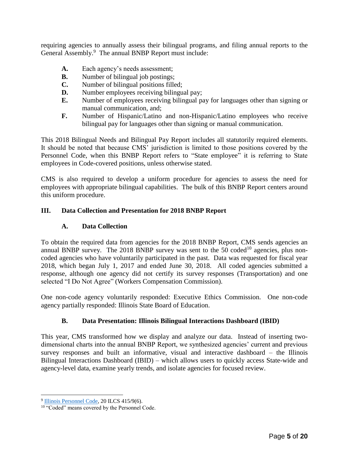requiring agencies to annually assess their bilingual programs, and filing annual reports to the General Assembly.<sup>9</sup> The annual BNBP Report must include:

- **A.** Each agency's needs assessment;
- **B.** Number of bilingual job postings;
- **C.** Number of bilingual positions filled;
- **D.** Number employees receiving bilingual pay;
- **E.** Number of employees receiving bilingual pay for languages other than signing or manual communication, and;
- **F.** Number of Hispanic/Latino and non-Hispanic/Latino employees who receive bilingual pay for languages other than signing or manual communication.

This 2018 Bilingual Needs and Bilingual Pay Report includes all statutorily required elements. It should be noted that because CMS' jurisdiction is limited to those positions covered by the Personnel Code, when this BNBP Report refers to "State employee" it is referring to State employees in Code-covered positions, unless otherwise stated.

CMS is also required to develop a uniform procedure for agencies to assess the need for employees with appropriate bilingual capabilities. The bulk of this BNBP Report centers around this uniform procedure.

#### **III. Data Collection and Presentation for 2018 BNBP Report**

#### **A. Data Collection**

To obtain the required data from agencies for the 2018 BNBP Report, CMS sends agencies an annual BNBP survey. The 2018 BNBP survey was sent to the  $50 \text{ coded}^{10}$  agencies, plus noncoded agencies who have voluntarily participated in the past. Data was requested for fiscal year 2018, which began July 1, 2017 and ended June 30, 2018. All coded agencies submitted a response, although one agency did not certify its survey responses (Transportation) and one selected "I Do Not Agree" (Workers Compensation Commission).

One non-code agency voluntarily responded: Executive Ethics Commission. One non-code agency partially responded: Illinois State Board of Education.

#### **B. Data Presentation: Illinois Bilingual Interactions Dashboard (IBID)**

This year, CMS transformed how we display and analyze our data. Instead of inserting twodimensional charts into the annual BNBP Report, we synthesized agencies' current and previous survey responses and built an informative, visual and interactive dashboard – the Illinois Bilingual Interactions Dashboard (IBID) – which allows users to quickly access State-wide and agency-level data, examine yearly trends, and isolate agencies for focused review.

<sup>&</sup>lt;sup>9</sup> [Illinois Personnel Code,](http://www.ilga.gov/legislation/ilcs/ilcs3.asp?ActID=236&ChapterID=5) 20 ILCS 415/9(6).

<sup>&</sup>lt;sup>10</sup> "Coded" means covered by the Personnel Code.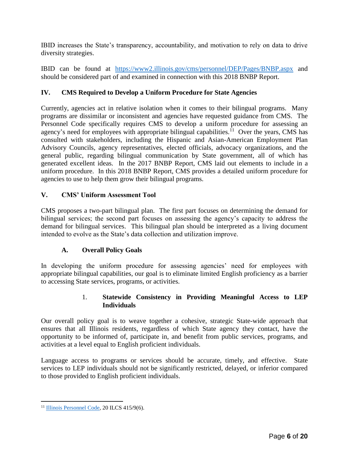IBID increases the State's transparency, accountability, and motivation to rely on data to drive diversity strategies.

IBID can be found at <https://www2.illinois.gov/cms/personnel/DEP/Pages/BNBP.aspx> and should be considered part of and examined in connection with this 2018 BNBP Report.

## **IV. CMS Required to Develop a Uniform Procedure for State Agencies**

Currently, agencies act in relative isolation when it comes to their bilingual programs. Many programs are dissimilar or inconsistent and agencies have requested guidance from CMS. The Personnel Code specifically requires CMS to develop a uniform procedure for assessing an agency's need for employees with appropriate bilingual capabilities.<sup>11</sup> Over the years, CMS has consulted with stakeholders, including the Hispanic and Asian-American Employment Plan Advisory Councils, agency representatives, elected officials, advocacy organizations, and the general public, regarding bilingual communication by State government, all of which has generated excellent ideas. In the 2017 BNBP Report, CMS laid out elements to include in a uniform procedure. In this 2018 BNBP Report, CMS provides a detailed uniform procedure for agencies to use to help them grow their bilingual programs.

#### **V. CMS' Uniform Assessment Tool**

CMS proposes a two-part bilingual plan. The first part focuses on determining the demand for bilingual services; the second part focuses on assessing the agency's capacity to address the demand for bilingual services. This bilingual plan should be interpreted as a living document intended to evolve as the State's data collection and utilization improve.

#### **A. Overall Policy Goals**

In developing the uniform procedure for assessing agencies' need for employees with appropriate bilingual capabilities, our goal is to eliminate limited English proficiency as a barrier to accessing State services, programs, or activities.

#### 1. **Statewide Consistency in Providing Meaningful Access to LEP Individuals**

Our overall policy goal is to weave together a cohesive, strategic State-wide approach that ensures that all Illinois residents, regardless of which State agency they contact, have the opportunity to be informed of, participate in, and benefit from public services, programs, and activities at a level equal to English proficient individuals.

Language access to programs or services should be accurate, timely, and effective. State services to LEP individuals should not be significantly restricted, delayed, or inferior compared to those provided to English proficient individuals.

<sup>&</sup>lt;sup>11</sup> [Illinois Personnel Code,](http://www.ilga.gov/legislation/ilcs/ilcs3.asp?ActID=236&ChapterID=5) 20 ILCS 415/9(6).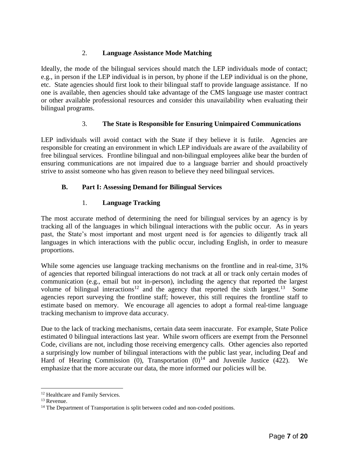## 2. **Language Assistance Mode Matching**

Ideally, the mode of the bilingual services should match the LEP individuals mode of contact; e.g., in person if the LEP individual is in person, by phone if the LEP individual is on the phone, etc. State agencies should first look to their bilingual staff to provide language assistance. If no one is available, then agencies should take advantage of the CMS language use master contract or other available professional resources and consider this unavailability when evaluating their bilingual programs.

## 3. **The State is Responsible for Ensuring Unimpaired Communications**

LEP individuals will avoid contact with the State if they believe it is futile. Agencies are responsible for creating an environment in which LEP individuals are aware of the availability of free bilingual services. Frontline bilingual and non-bilingual employees alike bear the burden of ensuring communications are not impaired due to a language barrier and should proactively strive to assist someone who has given reason to believe they need bilingual services.

## **B. Part I: Assessing Demand for Bilingual Services**

## 1. **Language Tracking**

The most accurate method of determining the need for bilingual services by an agency is by tracking all of the languages in which bilingual interactions with the public occur. As in years past, the State's most important and most urgent need is for agencies to diligently track all languages in which interactions with the public occur, including English, in order to measure proportions.

While some agencies use language tracking mechanisms on the frontline and in real-time, 31% of agencies that reported bilingual interactions do not track at all or track only certain modes of communication (e.g., email but not in-person), including the agency that reported the largest volume of bilingual interactions<sup>12</sup> and the agency that reported the sixth largest.<sup>13</sup> Some agencies report surveying the frontline staff; however, this still requires the frontline staff to estimate based on memory. We encourage all agencies to adopt a formal real-time language tracking mechanism to improve data accuracy.

Due to the lack of tracking mechanisms, certain data seem inaccurate. For example, State Police estimated 0 bilingual interactions last year. While sworn officers are exempt from the Personnel Code, civilians are not, including those receiving emergency calls. Other agencies also reported a surprisingly low number of bilingual interactions with the public last year, including Deaf and Hard of Hearing Commission (0), Transportation  $(0)^{14}$  and Juvenile Justice (422). We emphasize that the more accurate our data, the more informed our policies will be.

<sup>&</sup>lt;sup>12</sup> Healthcare and Family Services.

<sup>&</sup>lt;sup>13</sup> Revenue.

<sup>&</sup>lt;sup>14</sup> The Department of Transportation is split between coded and non-coded positions.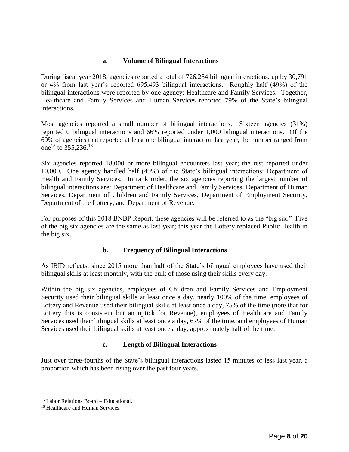#### **a. Volume of Bilingual Interactions**

During fiscal year 2018, agencies reported a total of 726,284 bilingual interactions, up by 30,791 or 4% from last year's reported 695,493 bilingual interactions. Roughly half (49%) of the bilingual interactions were reported by one agency: Healthcare and Family Services. Together, Healthcare and Family Services and Human Services reported 79% of the State's bilingual interactions.

Most agencies reported a small number of bilingual interactions. Sixteen agencies (31%) reported 0 bilingual interactions and 66% reported under 1,000 bilingual interactions. Of the 69% of agencies that reported at least one bilingual interaction last year, the number ranged from one<sup>15</sup> to 355,236.<sup>16</sup>

Six agencies reported 18,000 or more bilingual encounters last year; the rest reported under 10,000. One agency handled half (49%) of the State's bilingual interactions: Department of Health and Family Services. In rank order, the six agencies reporting the largest number of bilingual interactions are: Department of Healthcare and Family Services, Department of Human Services, Department of Children and Family Services, Department of Employment Security, Department of the Lottery, and Department of Revenue.

For purposes of this 2018 BNBP Report, these agencies will be referred to as the "big six." Five of the big six agencies are the same as last year; this year the Lottery replaced Public Health in the big six.

## **b. Frequency of Bilingual Interactions**

As IBID reflects, since 2015 more than half of the State's bilingual employees have used their bilingual skills at least monthly, with the bulk of those using their skills every day.

Within the big six agencies, employees of Children and Family Services and Employment Security used their bilingual skills at least once a day, nearly 100% of the time, employees of Lottery and Revenue used their bilingual skills at least once a day, 75% of the time (note that for Lottery this is consistent but an uptick for Revenue), employees of Healthcare and Family Services used their bilingual skills at least once a day, 67% of the time, and employees of Human Services used their bilingual skills at least once a day, approximately half of the time.

## **c. Length of Bilingual Interactions**

Just over three-fourths of the State's bilingual interactions lasted 15 minutes or less last year, a proportion which has been rising over the past four years.

<sup>15</sup> Labor Relations Board – Educational.

<sup>&</sup>lt;sup>16</sup> Healthcare and Human Services.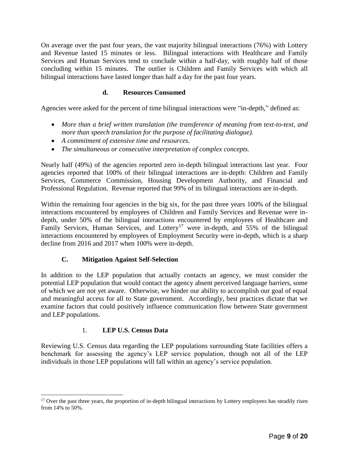On average over the past four years, the vast majority bilingual interactions (76%) with Lottery and Revenue lasted 15 minutes or less. Bilingual interactions with Healthcare and Family Services and Human Services tend to conclude within a half-day, with roughly half of those concluding within 15 minutes. The outlier is Children and Family Services with which all bilingual interactions have lasted longer than half a day for the past four years.

## **d. Resources Consumed**

Agencies were asked for the percent of time bilingual interactions were "in-depth," defined as:

- *More than a brief written translation (the transference of meaning from text-to-text, and more than speech translation for the purpose of facilitating dialogue).*
- *A commitment of extensive time and resources.*
- *The simultaneous or consecutive interpretation of complex concepts.*

Nearly half (49%) of the agencies reported zero in-depth bilingual interactions last year. Four agencies reported that 100% of their bilingual interactions are in-depth: Children and Family Services, Commerce Commission, Housing Development Authority, and Financial and Professional Regulation. Revenue reported that 99% of its bilingual interactions are in-depth.

Within the remaining four agencies in the big six, for the past three years 100% of the bilingual interactions encountered by employees of Children and Family Services and Revenue were indepth, under 50% of the bilingual interactions encountered by employees of Healthcare and Family Services, Human Services, and Lottery<sup>17</sup> were in-depth, and 55% of the bilingual interactions encountered by employees of Employment Security were in-depth, which is a sharp decline from 2016 and 2017 when 100% were in-depth.

## **C. Mitigation Against Self-Selection**

In addition to the LEP population that actually contacts an agency, we must consider the potential LEP population that would contact the agency absent perceived language barriers, some of which we are not yet aware. Otherwise, we hinder our ability to accomplish our goal of equal and meaningful access for all to State government. Accordingly, best practices dictate that we examine factors that could positively influence communication flow between State government and LEP populations.

#### 1. **LEP U.S. Census Data**

 $\overline{a}$ 

Reviewing U.S. Census data regarding the LEP populations surrounding State facilities offers a benchmark for assessing the agency's LEP service population, though not all of the LEP individuals in those LEP populations will fall within an agency's service population.

<sup>&</sup>lt;sup>17</sup> Over the past three years, the proportion of in-depth bilingual interactions by Lottery employees has steadily risen from 14% to 50%.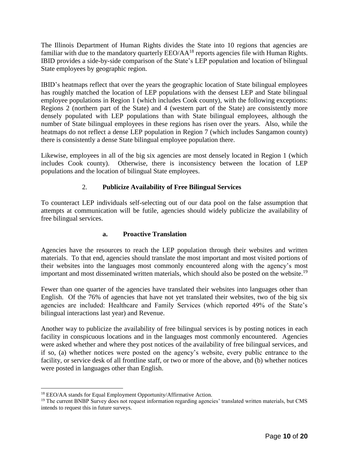The Illinois Department of Human Rights divides the State into 10 regions that agencies are familiar with due to the mandatory quarterly EEO/AA<sup>18</sup> reports agencies file with Human Rights. IBID provides a side-by-side comparison of the State's LEP population and location of bilingual State employees by geographic region.

IBID's heatmaps reflect that over the years the geographic location of State bilingual employees has roughly matched the location of LEP populations with the densest LEP and State bilingual employee populations in Region 1 (which includes Cook county), with the following exceptions: Regions 2 (northern part of the State) and 4 (western part of the State) are consistently more densely populated with LEP populations than with State bilingual employees, although the number of State bilingual employees in these regions has risen over the years. Also, while the heatmaps do not reflect a dense LEP population in Region 7 (which includes Sangamon county) there is consistently a dense State bilingual employee population there.

Likewise, employees in all of the big six agencies are most densely located in Region 1 (which includes Cook county). Otherwise, there is inconsistency between the location of LEP populations and the location of bilingual State employees.

## 2. **Publicize Availability of Free Bilingual Services**

To counteract LEP individuals self-selecting out of our data pool on the false assumption that attempts at communication will be futile, agencies should widely publicize the availability of free bilingual services.

## **a. Proactive Translation**

Agencies have the resources to reach the LEP population through their websites and written materials. To that end, agencies should translate the most important and most visited portions of their websites into the languages most commonly encountered along with the agency's most important and most disseminated written materials, which should also be posted on the website.<sup>19</sup>

Fewer than one quarter of the agencies have translated their websites into languages other than English. Of the 76% of agencies that have not yet translated their websites, two of the big six agencies are included: Healthcare and Family Services (which reported 49% of the State's bilingual interactions last year) and Revenue.

Another way to publicize the availability of free bilingual services is by posting notices in each facility in conspicuous locations and in the languages most commonly encountered. Agencies were asked whether and where they post notices of the availability of free bilingual services, and if so, (a) whether notices were posted on the agency's website, every public entrance to the facility, or service desk of all frontline staff, or two or more of the above, and (b) whether notices were posted in languages other than English.

<sup>18</sup> EEO/AA stands for Equal Employment Opportunity/Affirmative Action.

<sup>&</sup>lt;sup>19</sup> The current BNBP Survey does not request information regarding agencies' translated written materials, but CMS intends to request this in future surveys.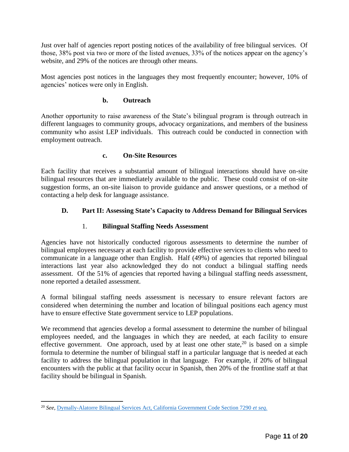Just over half of agencies report posting notices of the availability of free bilingual services. Of those, 38% post via two or more of the listed avenues, 33% of the notices appear on the agency's website, and 29% of the notices are through other means.

Most agencies post notices in the languages they most frequently encounter; however, 10% of agencies' notices were only in English.

## **b. Outreach**

Another opportunity to raise awareness of the State's bilingual program is through outreach in different languages to community groups, advocacy organizations, and members of the business community who assist LEP individuals. This outreach could be conducted in connection with employment outreach.

#### **c. On-Site Resources**

Each facility that receives a substantial amount of bilingual interactions should have on-site bilingual resources that are immediately available to the public. These could consist of on-site suggestion forms, an on-site liaison to provide guidance and answer questions, or a method of contacting a help desk for language assistance.

## **D. Part II: Assessing State's Capacity to Address Demand for Bilingual Services**

## 1. **Bilingual Staffing Needs Assessment**

Agencies have not historically conducted rigorous assessments to determine the number of bilingual employees necessary at each facility to provide effective services to clients who need to communicate in a language other than English. Half (49%) of agencies that reported bilingual interactions last year also acknowledged they do not conduct a bilingual staffing needs assessment. Of the 51% of agencies that reported having a bilingual staffing needs assessment, none reported a detailed assessment.

A formal bilingual staffing needs assessment is necessary to ensure relevant factors are considered when determining the number and location of bilingual positions each agency must have to ensure effective State government service to LEP populations.

We recommend that agencies develop a formal assessment to determine the number of bilingual employees needed, and the languages in which they are needed, at each facility to ensure effective government. One approach, used by at least one other state, $20$  is based on a simple formula to determine the number of bilingual staff in a particular language that is needed at each facility to address the bilingual population in that language. For example, if 20% of bilingual encounters with the public at that facility occur in Spanish, then 20% of the frontline staff at that facility should be bilingual in Spanish.

<sup>20</sup> *See*, [Dymally-Alatorre Bilingual Services Act, California Government Code Section 7290](https://leginfo.legislature.ca.gov/faces/codes_displayText.xhtml?lawCode=GOV&division=7.&title=1.&part=&chapter=17.5.&article=) *et seq*.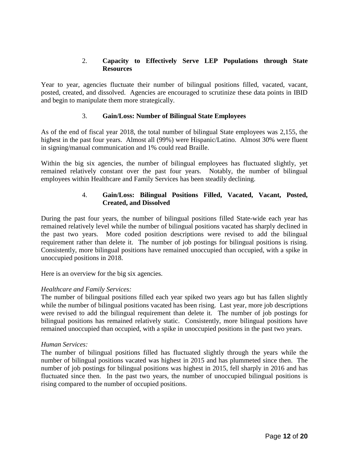## 2. **Capacity to Effectively Serve LEP Populations through State Resources**

Year to year, agencies fluctuate their number of bilingual positions filled, vacated, vacant, posted, created, and dissolved. Agencies are encouraged to scrutinize these data points in IBID and begin to manipulate them more strategically.

## 3. **Gain/Loss: Number of Bilingual State Employees**

As of the end of fiscal year 2018, the total number of bilingual State employees was 2,155, the highest in the past four years. Almost all (99%) were Hispanic/Latino. Almost 30% were fluent in signing/manual communication and 1% could read Braille.

Within the big six agencies, the number of bilingual employees has fluctuated slightly, yet remained relatively constant over the past four years. Notably, the number of bilingual employees within Healthcare and Family Services has been steadily declining.

## 4. **Gain/Loss: Bilingual Positions Filled, Vacated, Vacant, Posted, Created, and Dissolved**

During the past four years, the number of bilingual positions filled State-wide each year has remained relatively level while the number of bilingual positions vacated has sharply declined in the past two years. More coded position descriptions were revised to add the bilingual requirement rather than delete it. The number of job postings for bilingual positions is rising. Consistently, more bilingual positions have remained unoccupied than occupied, with a spike in unoccupied positions in 2018.

Here is an overview for the big six agencies.

## *Healthcare and Family Services:*

The number of bilingual positions filled each year spiked two years ago but has fallen slightly while the number of bilingual positions vacated has been rising. Last year, more job descriptions were revised to add the bilingual requirement than delete it. The number of job postings for bilingual positions has remained relatively static. Consistently, more bilingual positions have remained unoccupied than occupied, with a spike in unoccupied positions in the past two years.

#### *Human Services:*

The number of bilingual positions filled has fluctuated slightly through the years while the number of bilingual positions vacated was highest in 2015 and has plummeted since then. The number of job postings for bilingual positions was highest in 2015, fell sharply in 2016 and has fluctuated since then. In the past two years, the number of unoccupied bilingual positions is rising compared to the number of occupied positions.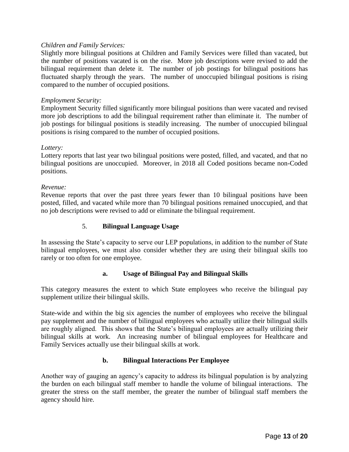#### *Children and Family Services:*

Slightly more bilingual positions at Children and Family Services were filled than vacated, but the number of positions vacated is on the rise. More job descriptions were revised to add the bilingual requirement than delete it. The number of job postings for bilingual positions has fluctuated sharply through the years. The number of unoccupied bilingual positions is rising compared to the number of occupied positions.

#### *Employment Security:*

Employment Security filled significantly more bilingual positions than were vacated and revised more job descriptions to add the bilingual requirement rather than eliminate it. The number of job postings for bilingual positions is steadily increasing. The number of unoccupied bilingual positions is rising compared to the number of occupied positions.

#### *Lottery:*

Lottery reports that last year two bilingual positions were posted, filled, and vacated, and that no bilingual positions are unoccupied. Moreover, in 2018 all Coded positions became non-Coded positions.

#### *Revenue:*

Revenue reports that over the past three years fewer than 10 bilingual positions have been posted, filled, and vacated while more than 70 bilingual positions remained unoccupied, and that no job descriptions were revised to add or eliminate the bilingual requirement.

#### 5. **Bilingual Language Usage**

In assessing the State's capacity to serve our LEP populations, in addition to the number of State bilingual employees, we must also consider whether they are using their bilingual skills too rarely or too often for one employee.

#### **a. Usage of Bilingual Pay and Bilingual Skills**

This category measures the extent to which State employees who receive the bilingual pay supplement utilize their bilingual skills.

State-wide and within the big six agencies the number of employees who receive the bilingual pay supplement and the number of bilingual employees who actually utilize their bilingual skills are roughly aligned. This shows that the State's bilingual employees are actually utilizing their bilingual skills at work. An increasing number of bilingual employees for Healthcare and Family Services actually use their bilingual skills at work.

#### **b. Bilingual Interactions Per Employee**

Another way of gauging an agency's capacity to address its bilingual population is by analyzing the burden on each bilingual staff member to handle the volume of bilingual interactions. The greater the stress on the staff member, the greater the number of bilingual staff members the agency should hire.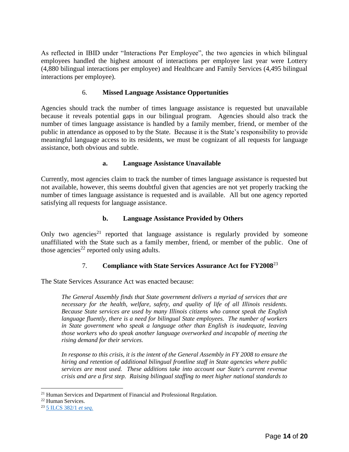As reflected in IBID under "Interactions Per Employee", the two agencies in which bilingual employees handled the highest amount of interactions per employee last year were Lottery (4,880 bilingual interactions per employee) and Healthcare and Family Services (4,495 bilingual interactions per employee).

## 6. **Missed Language Assistance Opportunities**

Agencies should track the number of times language assistance is requested but unavailable because it reveals potential gaps in our bilingual program. Agencies should also track the number of times language assistance is handled by a family member, friend, or member of the public in attendance as opposed to by the State. Because it is the State's responsibility to provide meaningful language access to its residents, we must be cognizant of all requests for language assistance, both obvious and subtle.

## **a. Language Assistance Unavailable**

Currently, most agencies claim to track the number of times language assistance is requested but not available, however, this seems doubtful given that agencies are not yet properly tracking the number of times language assistance is requested and is available. All but one agency reported satisfying all requests for language assistance.

## **b. Language Assistance Provided by Others**

Only two agencies<sup>21</sup> reported that language assistance is regularly provided by someone unaffiliated with the State such as a family member, friend, or member of the public. One of those agencies<sup>22</sup> reported only using adults.

## 7. **Compliance with State Services Assurance Act for FY2008**<sup>23</sup>

The State Services Assurance Act was enacted because:

*The General Assembly finds that State government delivers a myriad of services that are necessary for the health, welfare, safety, and quality of life of all Illinois residents. Because State services are used by many Illinois citizens who cannot speak the English language fluently, there is a need for bilingual State employees. The number of workers in State government who speak a language other than English is inadequate, leaving those workers who do speak another language overworked and incapable of meeting the rising demand for their services.*

*In response to this crisis, it is the intent of the General Assembly in FY 2008 to ensure the hiring and retention of additional bilingual frontline staff in State agencies where public services are most used. These additions take into account our State's current revenue crisis and are a first step. Raising bilingual staffing to meet higher national standards to* 

<sup>&</sup>lt;sup>21</sup> Human Services and Department of Financial and Professional Regulation.

<sup>22</sup> Human Services.

<sup>23</sup> [5 ILCS 382/1](http://www.ilga.gov/legislation/ilcs/ilcs5.asp?ActID=2960&ChapterID=2) *et seq.*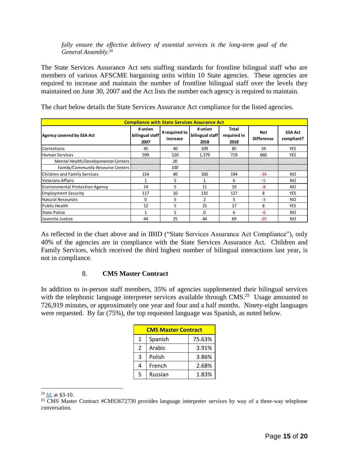#### *fully ensure the effective delivery of essential services is the long-term goal of the General Assembly.*<sup>24</sup>

The State Services Assurance Act sets staffing standards for frontline bilingual staff who are members of various AFSCME bargaining units within 10 State agencies. These agencies are required to increase and maintain the number of frontline bilingual staff over the levels they maintained on June 30, 2007 and the Act lists the number each agency is required to maintain.

| <b>Compliance with State Services Assurance Act</b> |                                    |                           |                                    |                              |                          |                              |  |
|-----------------------------------------------------|------------------------------------|---------------------------|------------------------------------|------------------------------|--------------------------|------------------------------|--|
| <b>Agency covered by SSA Act</b>                    | # union<br>bilingual staff<br>2007 | # required to<br>increase | # union<br>bilingual staff<br>2018 | Total<br>required in<br>2018 | Net<br><b>Difference</b> | <b>SSA Act</b><br>compliant? |  |
| Corrections                                         | 45                                 | 40                        | 109                                | 85                           | 24                       | <b>YES</b>                   |  |
| <b>Human Services</b>                               | 599                                | 120                       | 1,379                              | 719                          | 660                      | <b>YES</b>                   |  |
| Mental Health/Developmental Centers                 |                                    | 20                        |                                    |                              |                          |                              |  |
| <b>Family/Community Resource Centers</b>            |                                    | 100                       |                                    |                              |                          |                              |  |
| Children and Family Services                        | 154                                | 40                        | 160                                | 194                          | $-34$                    | <b>NO</b>                    |  |
| <b>Veterans Affairs</b>                             |                                    | 5                         |                                    | 6                            | -5                       | NO.                          |  |
| <b>Environmental Protection Agency</b>              | 14                                 | 5.                        | 11                                 | 19                           | -8                       | NO.                          |  |
| <b>Employment Security</b>                          | 117                                | 10                        | 135                                | 127                          | 8                        | <b>YES</b>                   |  |
| Natural Resources                                   | $\Omega$                           | 5                         | $\overline{2}$                     | 5                            | $-3$                     | NO.                          |  |
| Public Health                                       | 12                                 | 5                         | 25                                 | 17                           | 8                        | <b>YES</b>                   |  |
| <b>State Police</b>                                 |                                    | 5                         | 0                                  | 6                            | -6                       | NO.                          |  |
| Juvenile Justice                                    | 44                                 | 25                        | 44                                 | 69                           | $-25$                    | NO.                          |  |

The chart below details the State Services Assurance Act compliance for the listed agencies.

As reflected in the chart above and in IBID ("State Services Assurance Act Compliance"), only 40% of the agencies are in compliance with the State Services Assurance Act. Children and Family Services, which received the third highest number of bilingual interactions last year, is not in compliance.

#### 8. **CMS Master Contract**

In addition to in-person staff members, 35% of agencies supplemented their bilingual services with the telephonic language interpreter services available through  $CMS^2$ <sup>5</sup> Usage amounted to 726,919 minutes, or approximately one year and four and a half months. Ninety-eight languages were requested. By far (75%), the top requested language was Spanish, as noted below.

| <b>CMS Master Contract</b> |         |        |  |  |  |  |
|----------------------------|---------|--------|--|--|--|--|
| 1                          | Spanish | 75.63% |  |  |  |  |
| 2                          | Arabic  | 3.91%  |  |  |  |  |
| 3                          | Polish  | 3.86%  |  |  |  |  |
| 4                          | French  | 2.68%  |  |  |  |  |
| 5                          | Russian | 1.83%  |  |  |  |  |

<sup>24</sup> *[Id](http://www.ilga.gov/legislation/ilcs/ilcs5.asp?ActID=2960&ChapterID=2)*, at §3-10.

<sup>&</sup>lt;sup>25</sup> CMS Master Contract #CMS3672730 provides language interpreter services by way of a three-way telephone conversation.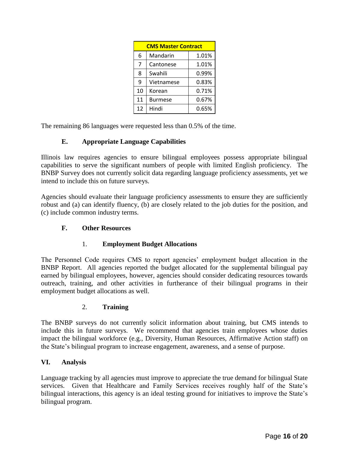| <b>CMS Master Contract</b> |                |       |  |  |  |
|----------------------------|----------------|-------|--|--|--|
| 6                          | Mandarin       | 1.01% |  |  |  |
| 7                          | Cantonese      | 1.01% |  |  |  |
| 8                          | Swahili        | 0.99% |  |  |  |
| 9                          | Vietnamese     | 0.83% |  |  |  |
| 10                         | Korean         | 0.71% |  |  |  |
| 11                         | <b>Burmese</b> | 0.67% |  |  |  |
| 12                         | Hindi          | 0.65% |  |  |  |

The remaining 86 languages were requested less than 0.5% of the time.

## **E. Appropriate Language Capabilities**

Illinois law requires agencies to ensure bilingual employees possess appropriate bilingual capabilities to serve the significant numbers of people with limited English proficiency. The BNBP Survey does not currently solicit data regarding language proficiency assessments, yet we intend to include this on future surveys.

Agencies should evaluate their language proficiency assessments to ensure they are sufficiently robust and (a) can identify fluency, (b) are closely related to the job duties for the position, and (c) include common industry terms.

## **F. Other Resources**

#### 1. **Employment Budget Allocations**

The Personnel Code requires CMS to report agencies' employment budget allocation in the BNBP Report. All agencies reported the budget allocated for the supplemental bilingual pay earned by bilingual employees, however, agencies should consider dedicating resources towards outreach, training, and other activities in furtherance of their bilingual programs in their employment budget allocations as well.

#### 2. **Training**

The BNBP surveys do not currently solicit information about training, but CMS intends to include this in future surveys. We recommend that agencies train employees whose duties impact the bilingual workforce (e.g., Diversity, Human Resources, Affirmative Action staff) on the State's bilingual program to increase engagement, awareness, and a sense of purpose.

#### **VI. Analysis**

Language tracking by all agencies must improve to appreciate the true demand for bilingual State services. Given that Healthcare and Family Services receives roughly half of the State's bilingual interactions, this agency is an ideal testing ground for initiatives to improve the State's bilingual program.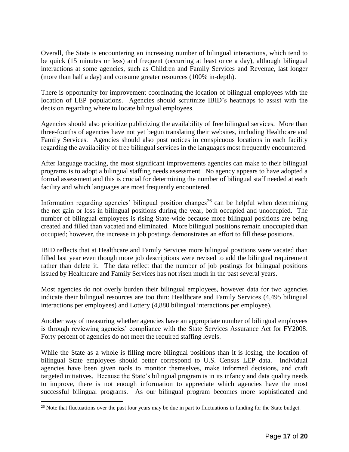Overall, the State is encountering an increasing number of bilingual interactions, which tend to be quick (15 minutes or less) and frequent (occurring at least once a day), although bilingual interactions at some agencies, such as Children and Family Services and Revenue, last longer (more than half a day) and consume greater resources (100% in-depth).

There is opportunity for improvement coordinating the location of bilingual employees with the location of LEP populations. Agencies should scrutinize IBID's heatmaps to assist with the decision regarding where to locate bilingual employees.

Agencies should also prioritize publicizing the availability of free bilingual services. More than three-fourths of agencies have not yet begun translating their websites, including Healthcare and Family Services. Agencies should also post notices in conspicuous locations in each facility regarding the availability of free bilingual services in the languages most frequently encountered.

After language tracking, the most significant improvements agencies can make to their bilingual programs is to adopt a bilingual staffing needs assessment. No agency appears to have adopted a formal assessment and this is crucial for determining the number of bilingual staff needed at each facility and which languages are most frequently encountered.

Information regarding agencies' bilingual position changes<sup>26</sup> can be helpful when determining the net gain or loss in bilingual positions during the year, both occupied and unoccupied. The number of bilingual employees is rising State-wide because more bilingual positions are being created and filled than vacated and eliminated. More bilingual positions remain unoccupied than occupied; however, the increase in job postings demonstrates an effort to fill these positions.

IBID reflects that at Healthcare and Family Services more bilingual positions were vacated than filled last year even though more job descriptions were revised to add the bilingual requirement rather than delete it. The data reflect that the number of job postings for bilingual positions issued by Healthcare and Family Services has not risen much in the past several years.

Most agencies do not overly burden their bilingual employees, however data for two agencies indicate their bilingual resources are too thin: Healthcare and Family Services (4,495 bilingual interactions per employees) and Lottery (4,880 bilingual interactions per employee).

Another way of measuring whether agencies have an appropriate number of bilingual employees is through reviewing agencies' compliance with the State Services Assurance Act for FY2008. Forty percent of agencies do not meet the required staffing levels.

While the State as a whole is filling more bilingual positions than it is losing, the location of bilingual State employees should better correspond to U.S. Census LEP data. Individual agencies have been given tools to monitor themselves, make informed decisions, and craft targeted initiatives. Because the State's bilingual program is in its infancy and data quality needs to improve, there is not enough information to appreciate which agencies have the most successful bilingual programs. As our bilingual program becomes more sophisticated and

<sup>&</sup>lt;sup>26</sup> Note that fluctuations over the past four years may be due in part to fluctuations in funding for the State budget.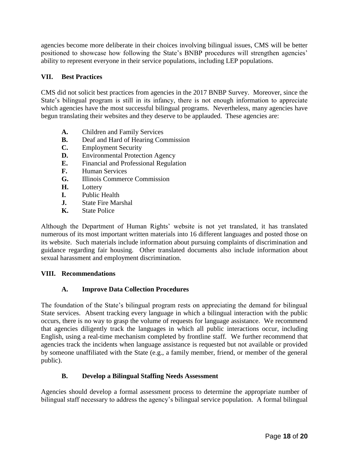agencies become more deliberate in their choices involving bilingual issues, CMS will be better positioned to showcase how following the State's BNBP procedures will strengthen agencies' ability to represent everyone in their service populations, including LEP populations.

## **VII. Best Practices**

CMS did not solicit best practices from agencies in the 2017 BNBP Survey. Moreover, since the State's bilingual program is still in its infancy, there is not enough information to appreciate which agencies have the most successful bilingual programs. Nevertheless, many agencies have begun translating their websites and they deserve to be applauded. These agencies are:

- **A.** Children and Family Services
- **B.** Deaf and Hard of Hearing Commission
- **C.** Employment Security
- **D.** Environmental Protection Agency
- **E.** Financial and Professional Regulation
- **F.** Human Services
- **G.** Illinois Commerce Commission
- **H.** Lottery
- **I.** Public Health
- **J.** State Fire Marshal
- **K.** State Police

Although the Department of Human Rights' website is not yet translated, it has translated numerous of its most important written materials into 16 different languages and posted those on its website. Such materials include information about pursuing complaints of discrimination and guidance regarding fair housing. Other translated documents also include information about sexual harassment and employment discrimination.

## **VIII. Recommendations**

## **A. Improve Data Collection Procedures**

The foundation of the State's bilingual program rests on appreciating the demand for bilingual State services. Absent tracking every language in which a bilingual interaction with the public occurs, there is no way to grasp the volume of requests for language assistance. We recommend that agencies diligently track the languages in which all public interactions occur, including English, using a real-time mechanism completed by frontline staff. We further recommend that agencies track the incidents when language assistance is requested but not available or provided by someone unaffiliated with the State (e.g., a family member, friend, or member of the general public).

## **B. Develop a Bilingual Staffing Needs Assessment**

Agencies should develop a formal assessment process to determine the appropriate number of bilingual staff necessary to address the agency's bilingual service population. A formal bilingual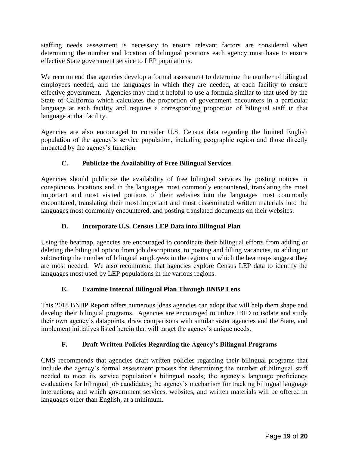staffing needs assessment is necessary to ensure relevant factors are considered when determining the number and location of bilingual positions each agency must have to ensure effective State government service to LEP populations.

We recommend that agencies develop a formal assessment to determine the number of bilingual employees needed, and the languages in which they are needed, at each facility to ensure effective government. Agencies may find it helpful to use a formula similar to that used by the State of California which calculates the proportion of government encounters in a particular language at each facility and requires a corresponding proportion of bilingual staff in that language at that facility.

Agencies are also encouraged to consider U.S. Census data regarding the limited English population of the agency's service population, including geographic region and those directly impacted by the agency's function.

## **C. Publicize the Availability of Free Bilingual Services**

Agencies should publicize the availability of free bilingual services by posting notices in conspicuous locations and in the languages most commonly encountered, translating the most important and most visited portions of their websites into the languages most commonly encountered, translating their most important and most disseminated written materials into the languages most commonly encountered, and posting translated documents on their websites.

## **D. Incorporate U.S. Census LEP Data into Bilingual Plan**

Using the heatmap, agencies are encouraged to coordinate their bilingual efforts from adding or deleting the bilingual option from job descriptions, to posting and filling vacancies, to adding or subtracting the number of bilingual employees in the regions in which the heatmaps suggest they are most needed. We also recommend that agencies explore Census LEP data to identify the languages most used by LEP populations in the various regions.

## **E. Examine Internal Bilingual Plan Through BNBP Lens**

This 2018 BNBP Report offers numerous ideas agencies can adopt that will help them shape and develop their bilingual programs. Agencies are encouraged to utilize IBID to isolate and study their own agency's datapoints, draw comparisons with similar sister agencies and the State, and implement initiatives listed herein that will target the agency's unique needs.

## **F. Draft Written Policies Regarding the Agency's Bilingual Programs**

CMS recommends that agencies draft written policies regarding their bilingual programs that include the agency's formal assessment process for determining the number of bilingual staff needed to meet its service population's bilingual needs; the agency's language proficiency evaluations for bilingual job candidates; the agency's mechanism for tracking bilingual language interactions; and which government services, websites, and written materials will be offered in languages other than English, at a minimum.